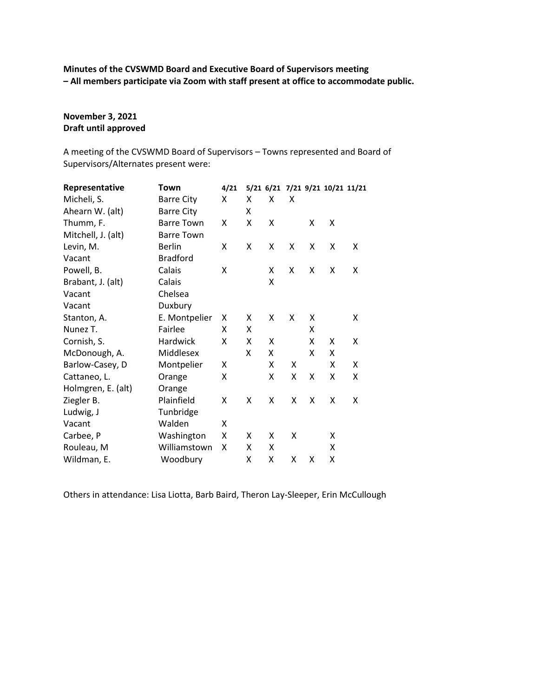**Minutes of the CVSWMD Board and Executive Board of Supervisors meeting – All members participate via Zoom with staff present at office to accommodate public.**

# **November 3, 2021 Draft until approved**

A meeting of the CVSWMD Board of Supervisors – Towns represented and Board of Supervisors/Alternates present were:

| Representative     | Town              | 4/21 |   |   |   |   |   | 5/21 6/21 7/21 9/21 10/21 11/21 |
|--------------------|-------------------|------|---|---|---|---|---|---------------------------------|
| Micheli, S.        | <b>Barre City</b> | X    | x | X | X |   |   |                                 |
| Ahearn W. (alt)    | <b>Barre City</b> |      | x |   |   |   |   |                                 |
| Thumm, F.          | <b>Barre Town</b> | X    | Χ | X |   | X | X |                                 |
| Mitchell, J. (alt) | <b>Barre Town</b> |      |   |   |   |   |   |                                 |
| Levin, M.          | <b>Berlin</b>     | X    | X | X | X | X | X | X                               |
| Vacant             | <b>Bradford</b>   |      |   |   |   |   |   |                                 |
| Powell, B.         | Calais            | X    |   | X | X | X | X | X                               |
| Brabant, J. (alt)  | Calais            |      |   | Χ |   |   |   |                                 |
| Vacant             | Chelsea           |      |   |   |   |   |   |                                 |
| Vacant             | Duxbury           |      |   |   |   |   |   |                                 |
| Stanton, A.        | E. Montpelier     | X    | X | X | X | X |   | X                               |
| Nunez T.           | Fairlee           | X    | x |   |   | x |   |                                 |
| Cornish, S.        | Hardwick          | X    | x | X |   | x | X | x                               |
| McDonough, A.      | Middlesex         |      | X | x |   | X | X |                                 |
| Barlow-Casey, D    | Montpelier        | X    |   | X | X |   | X | Χ                               |
| Cattaneo, L.       | Orange            | X    |   | Χ | X | X | Χ | x                               |
| Holmgren, E. (alt) | Orange            |      |   |   |   |   |   |                                 |
| Ziegler B.         | Plainfield        | X    | X | X | X | X | X | X                               |
| Ludwig, J          | Tunbridge         |      |   |   |   |   |   |                                 |
| Vacant             | Walden            | X    |   |   |   |   |   |                                 |
| Carbee, P          | Washington        | X    | X | X | X |   | X |                                 |
| Rouleau, M         | Williamstown      | X    | X | X |   |   | X |                                 |
| Wildman, E.        | Woodbury          |      | Χ | Χ | X | X | X |                                 |

Others in attendance: Lisa Liotta, Barb Baird, Theron Lay-Sleeper, Erin McCullough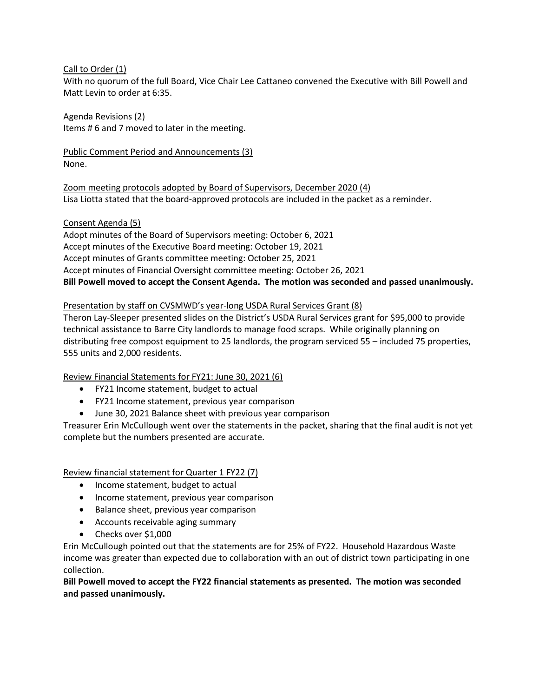### Call to Order (1)

With no quorum of the full Board, Vice Chair Lee Cattaneo convened the Executive with Bill Powell and Matt Levin to order at 6:35.

Agenda Revisions (2) Items # 6 and 7 moved to later in the meeting.

Public Comment Period and Announcements (3) None.

Zoom meeting protocols adopted by Board of Supervisors, December 2020 (4) Lisa Liotta stated that the board-approved protocols are included in the packet as a reminder.

Consent Agenda (5)

Adopt minutes of the Board of Supervisors meeting: October 6, 2021 Accept minutes of the Executive Board meeting: October 19, 2021 Accept minutes of Grants committee meeting: October 25, 2021 Accept minutes of Financial Oversight committee meeting: October 26, 2021 **Bill Powell moved to accept the Consent Agenda. The motion was seconded and passed unanimously.**

## Presentation by staff on CVSMWD's year-long USDA Rural Services Grant (8)

Theron Lay-Sleeper presented slides on the District's USDA Rural Services grant for \$95,000 to provide technical assistance to Barre City landlords to manage food scraps. While originally planning on distributing free compost equipment to 25 landlords, the program serviced 55 – included 75 properties, 555 units and 2,000 residents.

Review Financial Statements for FY21: June 30, 2021 (6)

- FY21 Income statement, budget to actual
- FY21 Income statement, previous year comparison
- June 30, 2021 Balance sheet with previous year comparison

Treasurer Erin McCullough went over the statements in the packet, sharing that the final audit is not yet complete but the numbers presented are accurate.

Review financial statement for Quarter 1 FY22 (7)

- Income statement, budget to actual
- Income statement, previous year comparison
- Balance sheet, previous year comparison
- Accounts receivable aging summary
- Checks over \$1,000

Erin McCullough pointed out that the statements are for 25% of FY22. Household Hazardous Waste income was greater than expected due to collaboration with an out of district town participating in one collection.

**Bill Powell moved to accept the FY22 financial statements as presented. The motion was seconded and passed unanimously.**